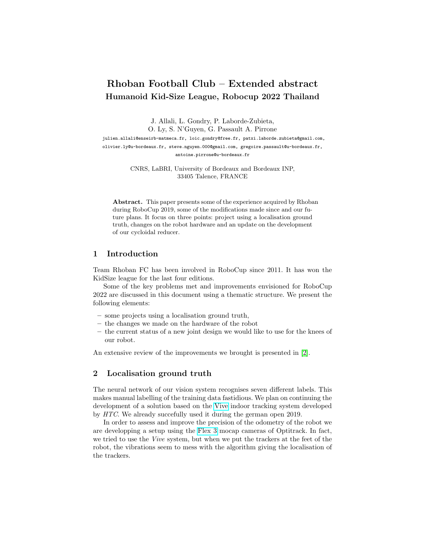# Rhoban Football Club – Extended abstract Humanoid Kid-Size League, Robocup 2022 Thailand

J. Allali, L. Gondry, P. Laborde-Zubieta,

O. Ly, S. N'Guyen, G. Passault A. Pirrone

julien.allali@enseirb-matmeca.fr, loic.gondry@free.fr, patxi.laborde.zubieta@gmail.com, olivier.ly@u-bordeaux.fr, steve.nguyen.000@gmail.com, gregoire.passault@u-bordeaux.fr, antoine.pirrone@u-bordeaux.fr

> CNRS, LaBRI, University of Bordeaux and Bordeaux INP, 33405 Talence, FRANCE

Abstract. This paper presents some of the experience acquired by Rhoban during RoboCup 2019, some of the modifications made since and our future plans. It focus on three points: project using a localisation ground truth, changes on the robot hardware and an update on the development of our cycloidal reducer.

#### 1 Introduction

Team Rhoban FC has been involved in RoboCup since 2011. It has won the KidSize league for the last four editions.

Some of the key problems met and improvements envisioned for RoboCup 2022 are discussed in this document using a thematic structure. We present the following elements:

- some projects using a localisation ground truth,
- the changes we made on the hardware of the robot
- the current status of a new joint design we would like to use for the knees of our robot.

An extensive review of the improvements we brought is presented in [\[2\]](#page-1-0).

#### 2 Localisation ground truth

The neural network of our vision system recognises seven different labels. This makes manual labelling of the training data fastidious. We plan on continuing the development of a solution based on the [Vive](https://www.vive.com/us/) indoor tracking system developed by HTC. We already succefully used it during the german open 2019.

In order to assess and improve the precision of the odometry of the robot we are developping a setup using the [Flex 3](https://optitrack.com/cameras/flex-3/) mocap cameras of Optitrack. In fact, we tried to use the Vive system, but when we put the trackers at the feet of the robot, the vibrations seem to mess with the algorithm giving the localisation of the trackers.